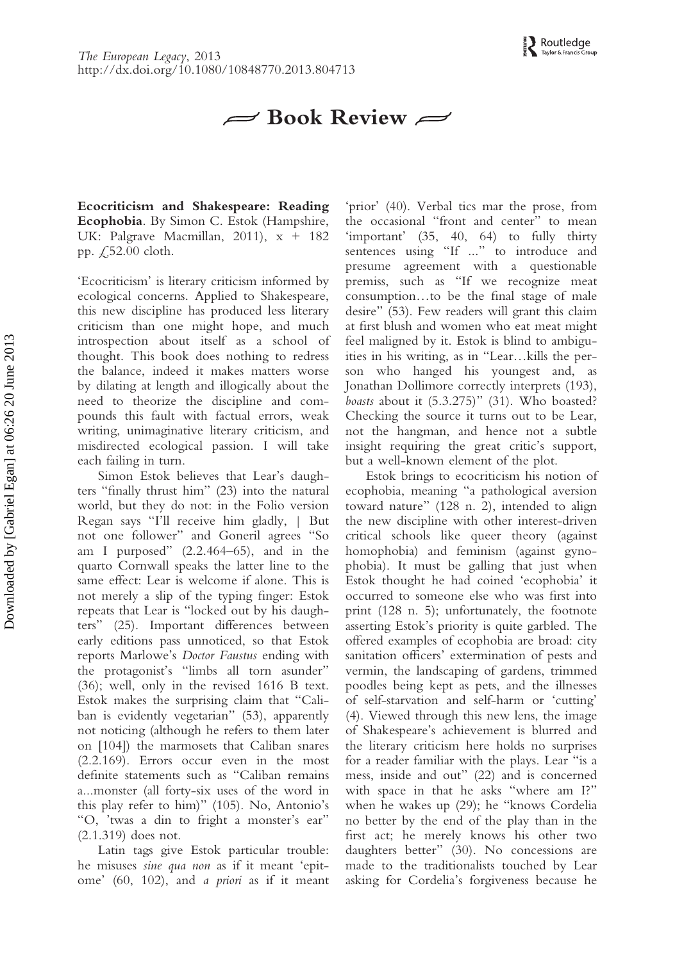

## $\implies$  Book Review  $\implies$

Ecocriticism and Shakespeare: Reading Ecophobia. By Simon C. Estok (Hampshire, UK: Palgrave Macmillan, 2011),  $x + 182$ pp.  $\text{\textsterling}52.00$  cloth.

'Ecocriticism' is literary criticism informed by ecological concerns. Applied to Shakespeare, this new discipline has produced less literary criticism than one might hope, and much introspection about itself as a school of thought. This book does nothing to redress the balance, indeed it makes matters worse by dilating at length and illogically about the need to theorize the discipline and compounds this fault with factual errors, weak writing, unimaginative literary criticism, and misdirected ecological passion. I will take each failing in turn.

Simon Estok believes that Lear's daughters "finally thrust him" (23) into the natural world, but they do not: in the Folio version Regan says "I'll receive him gladly, | But not one follower" and Goneril agrees "So am I purposed" (2.2.464–65), and in the quarto Cornwall speaks the latter line to the same effect: Lear is welcome if alone. This is not merely a slip of the typing finger: Estok repeats that Lear is "locked out by his daughters" (25). Important differences between early editions pass unnoticed, so that Estok reports Marlowe's Doctor Faustus ending with the protagonist's "limbs all torn asunder" (36); well, only in the revised 1616 B text. Estok makes the surprising claim that "Caliban is evidently vegetarian" (53), apparently not noticing (although he refers to them later on [104]) the marmosets that Caliban snares (2.2.169). Errors occur even in the most definite statements such as "Caliban remains a...monster (all forty-six uses of the word in this play refer to him)" (105). No, Antonio's "O, 'twas a din to fright a monster's ear" (2.1.319) does not.

Latin tags give Estok particular trouble: he misuses sine qua non as if it meant 'epitome' (60, 102), and a priori as if it meant

'prior' (40). Verbal tics mar the prose, from the occasional "front and center" to mean 'important' (35, 40, 64) to fully thirty sentences using "If ..." to introduce and presume agreement with a questionable premiss, such as "If we recognize meat consumption…to be the final stage of male desire" (53). Few readers will grant this claim at first blush and women who eat meat might feel maligned by it. Estok is blind to ambiguities in his writing, as in "Lear…kills the person who hanged his youngest and, as Jonathan Dollimore correctly interprets (193), boasts about it (5.3.275)" (31). Who boasted? Checking the source it turns out to be Lear, not the hangman, and hence not a subtle insight requiring the great critic's support, but a well-known element of the plot.

Estok brings to ecocriticism his notion of ecophobia, meaning "a pathological aversion toward nature" (128 n. 2), intended to align the new discipline with other interest-driven critical schools like queer theory (against homophobia) and feminism (against gynophobia). It must be galling that just when Estok thought he had coined 'ecophobia' it occurred to someone else who was first into print (128 n. 5); unfortunately, the footnote asserting Estok's priority is quite garbled. The offered examples of ecophobia are broad: city sanitation officers' extermination of pests and vermin, the landscaping of gardens, trimmed poodles being kept as pets, and the illnesses of self-starvation and self-harm or 'cutting' (4). Viewed through this new lens, the image of Shakespeare's achievement is blurred and the literary criticism here holds no surprises for a reader familiar with the plays. Lear "is a mess, inside and out" (22) and is concerned with space in that he asks "where am I?" when he wakes up (29); he "knows Cordelia no better by the end of the play than in the first act; he merely knows his other two daughters better" (30). No concessions are made to the traditionalists touched by Lear asking for Cordelia's forgiveness because he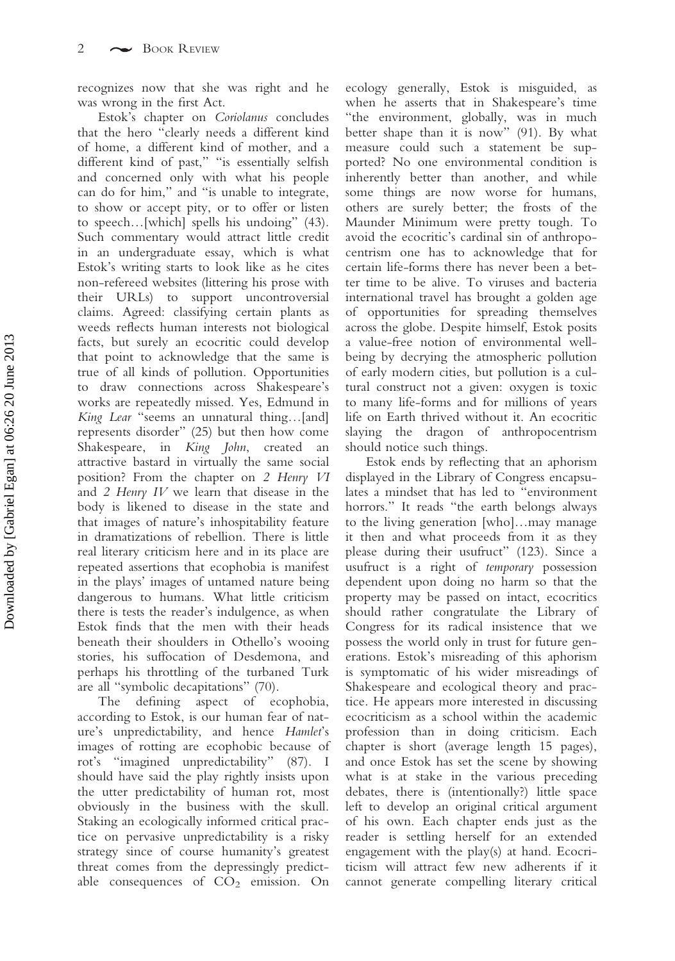recognizes now that she was right and he was wrong in the first Act.

Estok's chapter on Coriolanus concludes that the hero "clearly needs a different kind of home, a different kind of mother, and a different kind of past," "is essentially selfish and concerned only with what his people can do for him," and "is unable to integrate, to show or accept pity, or to offer or listen to speech…[which] spells his undoing" (43). Such commentary would attract little credit in an undergraduate essay, which is what Estok's writing starts to look like as he cites non-refereed websites (littering his prose with their URLs) to support uncontroversial claims. Agreed: classifying certain plants as weeds reflects human interests not biological facts, but surely an ecocritic could develop that point to acknowledge that the same is true of all kinds of pollution. Opportunities to draw connections across Shakespeare's works are repeatedly missed. Yes, Edmund in King Lear "seems an unnatural thing...[and] represents disorder" (25) but then how come Shakespeare, in King John, created an attractive bastard in virtually the same social position? From the chapter on 2 Henry VI and 2 Henry IV we learn that disease in the body is likened to disease in the state and that images of nature's inhospitability feature in dramatizations of rebellion. There is little real literary criticism here and in its place are repeated assertions that ecophobia is manifest in the plays' images of untamed nature being dangerous to humans. What little criticism there is tests the reader's indulgence, as when Estok finds that the men with their heads beneath their shoulders in Othello's wooing stories, his suffocation of Desdemona, and perhaps his throttling of the turbaned Turk are all "symbolic decapitations" (70).

The defining aspect of ecophobia, according to Estok, is our human fear of nature's unpredictability, and hence Hamlet's images of rotting are ecophobic because of rot's "imagined unpredictability" (87). should have said the play rightly insists upon the utter predictability of human rot, most obviously in the business with the skull. Staking an ecologically informed critical practice on pervasive unpredictability is a risky strategy since of course humanity's greatest threat comes from the depressingly predictable consequences of  $CO<sub>2</sub>$  emission. On

ecology generally, Estok is misguided, as when he asserts that in Shakespeare's time "the environment, globally, was in much better shape than it is now" (91). By what measure could such a statement be supported? No one environmental condition is inherently better than another, and while some things are now worse for humans, others are surely better; the frosts of the Maunder Minimum were pretty tough. To avoid the ecocritic's cardinal sin of anthropocentrism one has to acknowledge that for certain life-forms there has never been a better time to be alive. To viruses and bacteria international travel has brought a golden age of opportunities for spreading themselves across the globe. Despite himself, Estok posits a value-free notion of environmental wellbeing by decrying the atmospheric pollution of early modern cities, but pollution is a cultural construct not a given: oxygen is toxic to many life-forms and for millions of years life on Earth thrived without it. An ecocritic slaying the dragon of anthropocentrism should notice such things.

Estok ends by reflecting that an aphorism displayed in the Library of Congress encapsulates a mindset that has led to "environment horrors." It reads "the earth belongs always to the living generation [who]…may manage it then and what proceeds from it as they please during their usufruct" (123). Since a usufruct is a right of temporary possession dependent upon doing no harm so that the property may be passed on intact, ecocritics should rather congratulate the Library of Congress for its radical insistence that we possess the world only in trust for future generations. Estok's misreading of this aphorism is symptomatic of his wider misreadings of Shakespeare and ecological theory and practice. He appears more interested in discussing ecocriticism as a school within the academic profession than in doing criticism. Each chapter is short (average length 15 pages), and once Estok has set the scene by showing what is at stake in the various preceding debates, there is (intentionally?) little space left to develop an original critical argument of his own. Each chapter ends just as the reader is settling herself for an extended engagement with the play(s) at hand. Ecocriticism will attract few new adherents if it cannot generate compelling literary critical